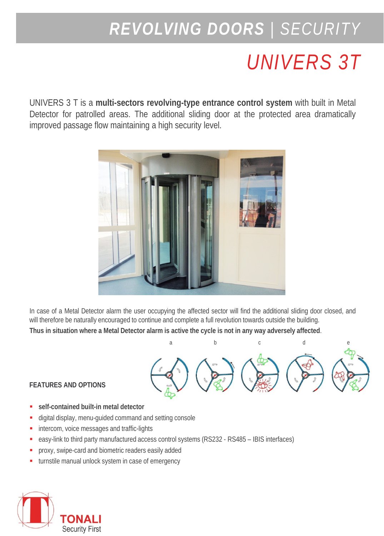## *REVOLVING DOORS | SECURITY*

## *UNIVERS 3T*

UNIVERS 3 T is a **multi-sectors revolving-type entrance control system** with built in Metal Detector for patrolled areas. The additional sliding door at the protected area dramatically improved passage flow maintaining a high security level.



In case of a Metal Detector alarm the user occupying the affected sector will find the additional sliding door closed, and will therefore be naturally encouraged to continue and complete a full revolution towards outside the building.

Thus in situation where a Metal Detector alarm is active the cycle is not in any way adversely affected.



## **FEATURES AND OPTIONS**

- **self-contained built-in metal detector**
- digital display, menu-guided command and setting console
- **intercom, voice messages and traffic-lights**
- easy-link to third party manufactured access control systems (RS232 RS485 IBIS interfaces)
- **PEDRIX** proxy, swipe-card and biometric readers easily added
- turnstile manual unlock system in case of emergency